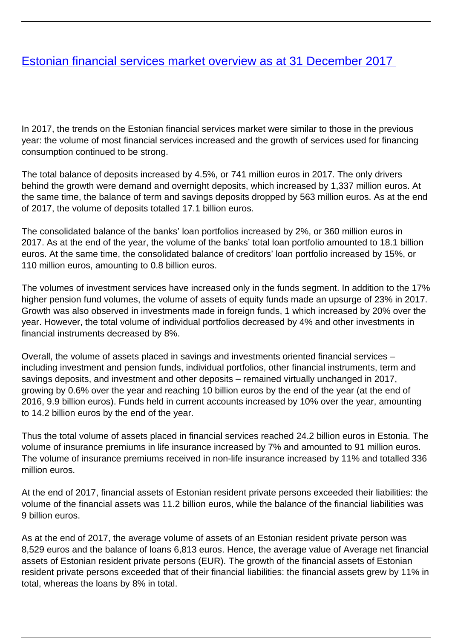## <span id="page-0-0"></span>[Estonian financial services market overview as at 31 December 2017](/en/finantsinspektsioon/finantsinspektsioonist/publikatsioonid/publikatsioon/eesti-finantsteenuste-turg-seisuga-31-detsember-2017)

In 2017, the trends on the Estonian financial services market were similar to those in the previous year: the volume of most financial services increased and the growth of services used for financing consumption continued to be strong.

The total balance of deposits increased by 4.5%, or 741 million euros in 2017. The only drivers behind the growth were demand and overnight deposits, which increased by 1,337 million euros. At the same time, the balance of term and savings deposits dropped by 563 million euros. As at the end of 2017, the volume of deposits totalled 17.1 billion euros.

The consolidated balance of the banks' loan portfolios increased by 2%, or 360 million euros in 2017. As at the end of the year, the volume of the banks' total loan portfolio amounted to 18.1 billion euros. At the same time, the consolidated balance of creditors' loan portfolio increased by 15%, or 110 million euros, amounting to 0.8 billion euros.

The volumes of investment services have increased only in the funds segment. In addition to the 17% higher pension fund volumes, the volume of assets of equity funds made an upsurge of 23% in 2017. Growth was also observed in investments made in foreign funds, 1 which increased by 20% over the year. However, the total volume of individual portfolios decreased by 4% and other investments in financial instruments decreased by 8%.

Overall, the volume of assets placed in savings and investments oriented financial services – including investment and pension funds, individual portfolios, other financial instruments, term and savings deposits, and investment and other deposits – remained virtually unchanged in 2017, growing by 0.6% over the year and reaching 10 billion euros by the end of the year (at the end of 2016, 9.9 billion euros). Funds held in current accounts increased by 10% over the year, amounting to 14.2 billion euros by the end of the year.

Thus the total volume of assets placed in financial services reached 24.2 billion euros in Estonia. The volume of insurance premiums in life insurance increased by 7% and amounted to 91 million euros. The volume of insurance premiums received in non-life insurance increased by 11% and totalled 336 million euros.

At the end of 2017, financial assets of Estonian resident private persons exceeded their liabilities: the volume of the financial assets was 11.2 billion euros, while the balance of the financial liabilities was 9 billion euros.

As at the end of 2017, the average volume of assets of an Estonian resident private person was 8,529 euros and the balance of loans 6,813 euros. Hence, the average value of Average net financial assets of Estonian resident private persons (EUR). The growth of the financial assets of Estonian resident private persons exceeded that of their financial liabilities: the financial assets grew by 11% in total, whereas the loans by 8% in total.